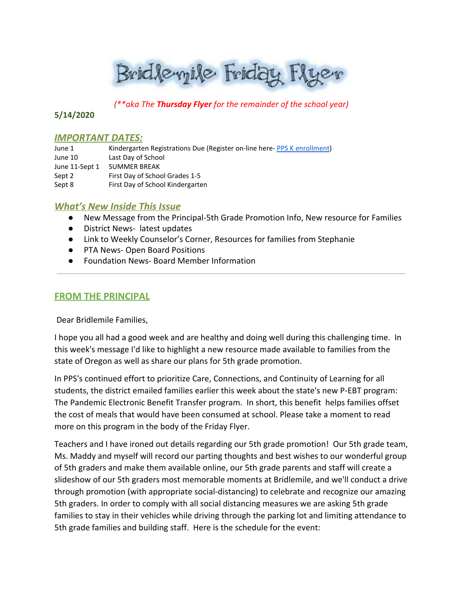Bridlevyile Friday Flyer

*(\*\*aka The Thursday Flyer for the remainder of the school year)*

## **5/14/2020**

### **IMPORTANT DATES:**

| June 1         | Kindergarten Registrations Due (Register on-line here-PPS K enrollment) |
|----------------|-------------------------------------------------------------------------|
| June 10        | Last Day of School                                                      |
| June 11-Sept 1 | <b>SUMMER BREAK</b>                                                     |
| Sept 2         | First Day of School Grades 1-5                                          |
| Sept 8         | First Day of School Kindergarten                                        |

# *What's New Inside This Issue*

- New Message from the Principal-5th Grade Promotion Info, New resource for Families
- District News- latest updates
- Link to Weekly Counselor's Corner, Resources for families from Stephanie
- PTA News- Open Board Positions
- **Foundation News- Board Member Information**

# **FROM THE PRINCIPAL**

Dear Bridlemile Families,

I hope you all had a good week and are healthy and doing well during this challenging time. In this week's message I'd like to highlight a new resource made available to families from the state of Oregon as well as share our plans for 5th grade promotion.

In PPS's continued effort to prioritize Care, Connections, and Continuity of Learning for all students, the district emailed families earlier this week about the state's new P-EBT program: The Pandemic Electronic Benefit Transfer program. In short, this benefit helps families offset the cost of meals that would have been consumed at school. Please take a moment to read more on this program in the body of the Friday Flyer.

Teachers and I have ironed out details regarding our 5th grade promotion! Our 5th grade team, Ms. Maddy and myself will record our parting thoughts and best wishes to our wonderful group of 5th graders and make them available online, our 5th grade parents and staff will create a slideshow of our 5th graders most memorable moments at Bridlemile, and we'll conduct a drive through promotion (with appropriate social-distancing) to celebrate and recognize our amazing 5th graders. In order to comply with all social distancing measures we are asking 5th grade families to stay in their vehicles while driving through the parking lot and limiting attendance to 5th grade families and building staff. Here is the schedule for the event: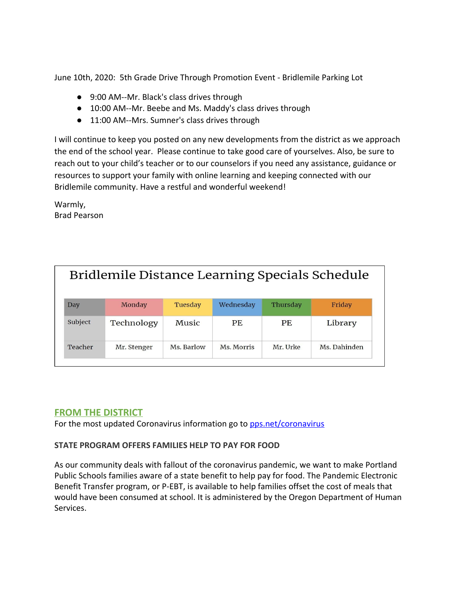June 10th, 2020: 5th Grade Drive Through Promotion Event - Bridlemile Parking Lot

- 9:00 AM--Mr. Black's class drives through
- 10:00 AM--Mr. Beebe and Ms. Maddy's class drives through
- 11:00 AM--Mrs. Sumner's class drives through

I will continue to keep you posted on any new developments from the district as we approach the end of the school year. Please continue to take good care of yourselves. Also, be sure to reach out to your child's teacher or to our counselors if you need any assistance, guidance or resources to support your family with online learning and keeping connected with our Bridlemile community. Have a restful and wonderful weekend!

Warmly, Brad Pearson

| Bridlemile Distance Learning Specials Schedule |             |            |            |          |              |  |  |
|------------------------------------------------|-------------|------------|------------|----------|--------------|--|--|
| Day                                            | Monday      | Tuesday    | Wednesday  | Thursday | Friday       |  |  |
| Subject                                        | Technology  | Music      | PF.        | PF.      | Library      |  |  |
| Teacher                                        | Mr. Stenger | Ms. Barlow | Ms. Morris | Mr. Urke | Ms. Dahinden |  |  |

# **FROM THE DISTRICT**

For the most updated Coronavirus information go to [pps.net/coronavirus](http://track.spe.schoolmessenger.com/f/a/oZfGYFGWlPSuz04Ea4-9gA~~/AAAAAQA~/RgRgZlDRP0QfaHR0cHM6Ly93d3cucHBzLm5ldC9jb3JvbmF2aXJ1c1cHc2Nob29sbUIKAABRHYVennNdt1IURnJlY2tsZTFAY29tY2FzdC5uZXRYBAAAAAE~)

# **STATE PROGRAM OFFERS FAMILIES HELP TO PAY FOR FOOD**

As our community deals with fallout of the coronavirus pandemic, we want to make Portland Public Schools families aware of a state benefit to help pay for food. The Pandemic Electronic Benefit Transfer program, or P-EBT, is available to help families offset the cost of meals that would have been consumed at school. It is administered by the Oregon Department of Human Services.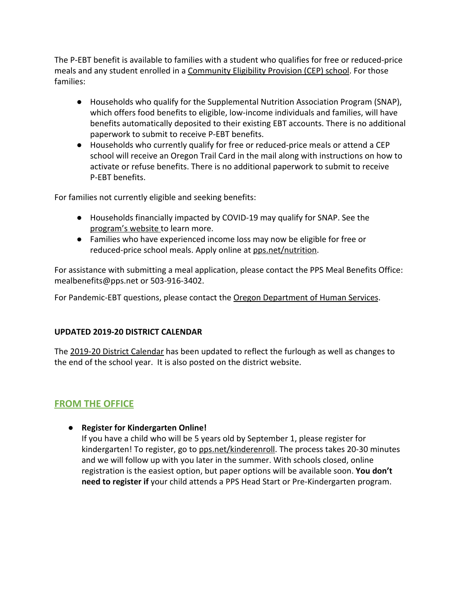The P-EBT benefit is available to families with a student who qualifies for free or reduced-price meals and any student enrolled in a [Community Eligibility Provision \(CEP\) school](https://www.pps.net/Page/2088). For those families:

- Households who qualify for the Supplemental Nutrition Association Program (SNAP), which offers food benefits to eligible, low-income individuals and families, will have benefits automatically deposited to their existing EBT accounts. There is no additional paperwork to submit to receive P-EBT benefits.
- Households who currently qualify for free or reduced-price meals or attend a CEP school will receive an Oregon Trail Card in the mail along with instructions on how to activate or refuse benefits. There is no additional paperwork to submit to receive P-EBT benefits.

For families not currently eligible and seeking benefits:

- Households financially impacted by COVID-19 may qualify for SNAP. See the [program's website t](https://govstatus.egov.com/or-dhs-benefits)o learn more.
- Families who have experienced income loss may now be eligible for free or reduced-price school meals. Apply online at [pps.net/nutrition](http://www.pps.net/nutrition).

For assistance with submitting a meal application, please contact the PPS Meal Benefits Office: mealbenefits@pps.net or 503-916-3402.

For Pandemic-EBT questions, please contact the [Oregon Department of Human Services](https://www.oregon.gov/dhs/Pages/index.aspx).

# **UPDATED 2019-20 DISTRICT CALENDAR**

The [2019-20 District Calendar](https://www.pps.net/cms/lib/OR01913224/Centricity/Domain/4/2019-20-School-District-Calendar_5-7-2020_UPDATE.pdf) has been updated to reflect the furlough as well as changes to the end of the school year. It is also posted on the district website.

# **FROM THE OFFICE**

● **Register for Kindergarten Online!**

If you have a child who will be 5 years old by September 1, please register for kindergarten! To register, go to [pps.net/kinderenroll.](http://www.pps.net/kinderenroll) The process takes 20-30 minutes and we will follow up with you later in the summer. With schools closed, online registration is the easiest option, but paper options will be available soon. **You don't need to register if** your child attends a PPS Head Start or Pre-Kindergarten program.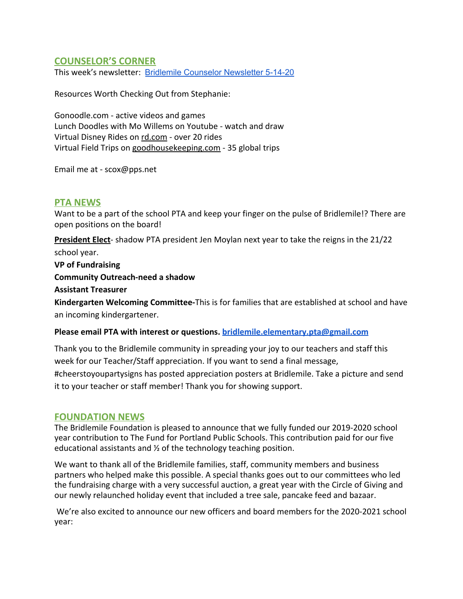# **COUNSELOR'S CORNER**

This week's newsletter: Bridlemile Counselor [Newsletter](https://docs.google.com/document/d/1jPIgNHMlmAUqjhf0JaM1QrVEJxQLWdv5TA4Xglj9iQs/edit?usp=sharing) 5-14-20

Resources Worth Checking Out from Stephanie:

Gonoodle.com - active videos and games Lunch Doodles with Mo Willems on Youtube - watch and draw Virtual Disney Rides on [rd.com](http://rd.com/) - over 20 rides Virtual Field Trips on [goodhousekeeping.com](http://goodhousekeeping.com/) - 35 global trips

Email me at - scox@pps.net

## **PTA NEWS**

Want to be a part of the school PTA and keep your finger on the pulse of Bridlemile!? There are open positions on the board!

**President Elect**- shadow PTA president Jen Moylan next year to take the reigns in the 21/22 school year.

**VP of Fundraising**

**Community Outreach-need a shadow**

**Assistant Treasurer**

**Kindergarten Welcoming Committee-**This is for families that are established at school and have an incoming kindergartener.

#### **Please email PTA with interest or questions. [bridlemile.elementary.pta@gmail.com](mailto:bridlemile.elementary.pta@gmail.com)**

Thank you to the Bridlemile community in spreading your joy to our teachers and staff this week for our Teacher/Staff appreciation. If you want to send a final message, #cheerstoyoupartysigns has posted appreciation posters at Bridlemile. Take a picture and send it to your teacher or staff member! Thank you for showing support.

## **FOUNDATION NEWS**

The Bridlemile Foundation is pleased to announce that we fully funded our 2019-2020 school year contribution to The Fund for Portland Public Schools. This contribution paid for our five educational assistants and ½ of the technology teaching position.

We want to thank all of the Bridlemile families, staff, community members and business partners who helped make this possible. A special thanks goes out to our committees who led the fundraising charge with a very successful auction, a great year with the Circle of Giving and our newly relaunched holiday event that included a tree sale, pancake feed and bazaar.

 We're also excited to announce our new officers and board members for the 2020-2021 school year: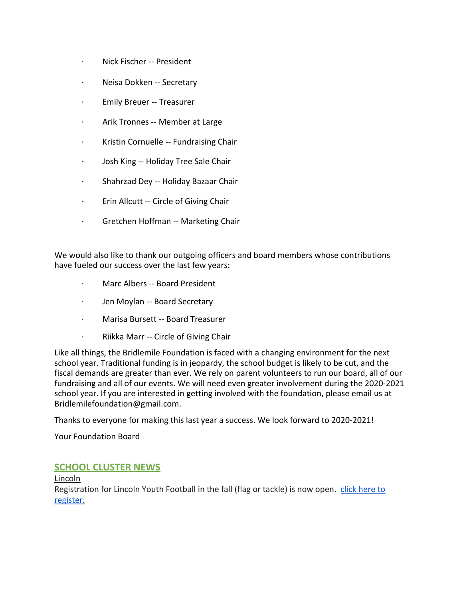- · Nick Fischer -- President
- · Neisa Dokken -- Secretary
- · Emily Breuer -- Treasurer
- · Arik Tronnes -- Member at Large
- · Kristin Cornuelle -- Fundraising Chair
- · Josh King -- Holiday Tree Sale Chair
- · Shahrzad Dey -- Holiday Bazaar Chair
- · Erin Allcutt -- Circle of Giving Chair
- · Gretchen Hoffman -- Marketing Chair

We would also like to thank our outgoing officers and board members whose contributions have fueled our success over the last few years:

- · Marc Albers -- Board President
- · Jen Moylan -- Board Secretary
- · Marisa Bursett -- Board Treasurer
- · Riikka Marr -- Circle of Giving Chair

Like all things, the Bridlemile Foundation is faced with a changing environment for the next school year. Traditional funding is in jeopardy, the school budget is likely to be cut, and the fiscal demands are greater than ever. We rely on parent volunteers to run our board, all of our fundraising and all of our events. We will need even greater involvement during the 2020-2021 school year. If you are interested in getting involved with the foundation, please email us at Bridlemilefoundation@gmail.com.

Thanks to everyone for making this last year a success. We look forward to 2020-2021!

Your Foundation Board

# **SCHOOL CLUSTER NEWS**

Lincoln

Registration for Lincoln Youth Football in the fall (flag or tackle) is now open. [click here to](https://www.lincolnyouthfootball.info/) [register.](https://www.lincolnyouthfootball.info/)